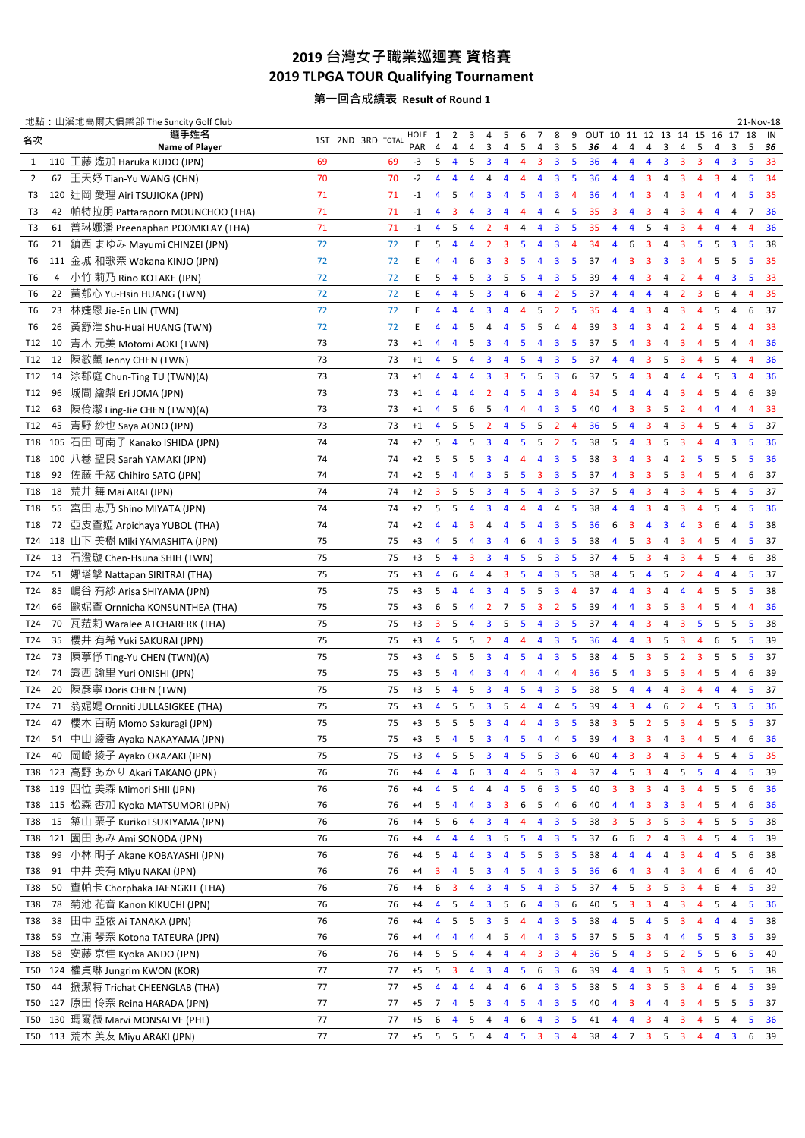## **2019** 台灣女子職業巡迴賽 資格賽 **2019 TLPGA TOUR Qualifying Tournament**

第一回合成績表 **Result of Round 1**

|                |     | 地點: 山溪地高爾夫俱樂部 The Suncity Golf Club                     |                   |    |             |                         |                |                |                                           |                     |                |                                           |                                                    |                |    |                         |                         |                                           |                         |                         |                         |                |                                           | 21-Nov-18      |          |
|----------------|-----|---------------------------------------------------------|-------------------|----|-------------|-------------------------|----------------|----------------|-------------------------------------------|---------------------|----------------|-------------------------------------------|----------------------------------------------------|----------------|----|-------------------------|-------------------------|-------------------------------------------|-------------------------|-------------------------|-------------------------|----------------|-------------------------------------------|----------------|----------|
| 名次             |     | 選手姓名<br>Name of Player                                  | 1ST 2ND 3RD TOTAL |    | HOLE<br>PAR | 1<br>4                  | 2<br>4         | 3<br>4         | 4<br>3                                    | 5<br>4              | 6<br>5         | 7<br>4                                    | 8<br>3                                             | 9<br>5         | 36 | 4                       | 4                       | OUT 10 11 12 13 14 15 16<br>4             | 3                       | 4                       | 5                       | 4              | 18<br>17<br>5<br>3                        |                | IN<br>36 |
| 1              |     | 110 工藤 遙加 Haruka KUDO (JPN)                             | 69                | 69 | -3          | 5                       | 4              | 5              | $\overline{\mathbf{3}}$                   | 4                   | 4              | 3                                         | $\overline{\mathbf{3}}$                            | 5              | 36 | 4                       | 4                       | 4                                         | 3                       | 3                       | 3                       | 4              | 3<br>5                                    |                | 33       |
| $\overline{2}$ | 67  | 王天妤 Tian-Yu WANG (CHN)                                  | 70                | 70 | $-2$        | 4                       | 4              | 4              | 4                                         | 4                   | 4              | 4                                         | 3                                                  | 5              | 36 | 4                       | 4                       | 3                                         | 4                       | 3                       | 4                       | 3              | 5<br>4                                    |                | 34       |
| T3             |     | 120 辻岡 愛理 Airi TSUJIOKA (JPN)                           | 71                | 71 | $-1$        | 4                       | 5              | 4              | $\overline{\mathbf{3}}$                   | $\overline{4}$      | 5              | 4                                         | $\overline{\mathbf{3}}$                            | $\overline{4}$ | 36 | 4                       | $\overline{4}$          | 3                                         | 4                       | 3                       | $\overline{4}$          | 4              | 5<br>4                                    |                | 35       |
| T3             | 42  | 帕特拉朋 Pattaraporn MOUNCHOO (THA)                         | 71                | 71 | $-1$        | $\overline{4}$          | 3              | 4              | $\overline{\mathbf{3}}$                   | $\overline{4}$      | 4              | 4                                         | 4                                                  | 5              | 35 | $\overline{\mathbf{3}}$ | $\overline{4}$          | 3                                         | $\overline{4}$          | 3                       | $\overline{4}$          | $\overline{4}$ | 4<br>$\overline{7}$                       |                | 36       |
| T3             |     | 61 普琳娜潘 Preenaphan POOMKLAY (THA)                       | 71                | 71 | $-1$        | $\overline{4}$          | 5              | $\overline{4}$ | $\overline{2}$                            | $\overline{4}$      | 4              | 4                                         | 3                                                  | 5              | 35 | 4                       | 4                       | 5                                         | 4                       | 3                       | $\overline{4}$          | 4              | 4<br>$\overline{4}$                       |                | 36       |
| T6             |     | 21 鎮西 まゆみ Mayumi CHINZEI (JPN)                          | 72                | 72 | E           | 5                       | 4              | 4              | $\overline{2}$                            | 3                   | 5              | $\overline{4}$                            | $\overline{\mathbf{3}}$                            | $\overline{4}$ | 34 | 4                       | 6                       | 3                                         | 4                       | 3                       | 5                       | 5              | $\overline{\mathbf{3}}$<br>5              |                | 38       |
| T6             |     | 111 金城 和歌奈 Wakana KINJO (JPN)                           | 72                | 72 | E           | $\overline{4}$          | $\overline{4}$ | 6              | $\overline{\mathbf{3}}$                   | 3                   | 5              | 4                                         | $\overline{\mathbf{3}}$                            | 5              | 37 | $\overline{4}$          | 3                       | 3                                         | $\overline{\mathbf{3}}$ | $\overline{\mathbf{3}}$ | $\overline{4}$          | 5              | 5<br>5                                    |                | 35       |
| T6             |     | 4 小竹 莉乃 Rino KOTAKE (JPN)                               | 72                | 72 | E           | 5                       | 4              | 5              | $\overline{\mathbf{3}}$                   | 5                   | 5              | 4                                         | $\overline{\mathbf{3}}$                            | 5              | 39 | 4                       | 4                       | 3                                         | 4                       | $\overline{2}$          | 4                       | 4              | $\overline{\mathbf{3}}$<br>5              |                | 33       |
| T6             |     | 22 黃郁心 Yu-Hsin HUANG (TWN)                              | 72                | 72 | E           | 4                       | 4              | 5              | 3                                         | 4                   | 6              | 4                                         | $\overline{2}$                                     | 5              | 37 | 4                       | 4                       | 4                                         | 4                       | $\overline{2}$          | 3                       | 6              | 4<br>$\overline{4}$                       |                | 35       |
| Т6             |     | 23 林婕恩 Jie-En LIN (TWN)                                 | 72                | 72 | E           | 4                       | 4              | 4              | 3                                         | $\overline{4}$      | 4              | 5                                         | 2                                                  | 5              | 35 | 4                       | 4                       | 3                                         | 4                       | 3                       | 4                       | 5              | 6<br>4                                    |                | 37       |
| T6             | 26  | 黃舒淮 Shu-Huai HUANG (TWN)                                | 72                | 72 | E           | 4                       | 4              | 5              | $\overline{a}$                            | 4                   | 5              | 5                                         | 4                                                  | 4              | 39 | 3                       | 4                       | 3                                         | 4                       | $\overline{2}$          | 4                       | 5              | $\overline{4}$<br>$\overline{4}$          |                | 33       |
| T12            |     | 10 青木 元美 Motomi AOKI (TWN)                              | 73                | 73 | $+1$        | $\overline{\mathbf{4}}$ | 4              | 5              | $\overline{\mathbf{3}}$                   | 4                   | 5              | $\overline{4}$                            | $\overline{\mathbf{3}}$                            | 5              | 37 | 5                       | $\overline{4}$          | 3                                         | 4                       | 3                       | $\overline{4}$          | 5              | 4<br>$\overline{4}$                       |                | 36       |
| T12            | 12  | 陳敏薰 Jenny CHEN (TWN)                                    | 73                | 73 | $+1$        | $\overline{4}$          | 5              | 4              | $\overline{\mathbf{3}}$                   | 4                   | 5              | 4                                         | 3                                                  | 5              | 37 | $\overline{4}$          | 4                       | 3                                         | 5                       | 3                       | 4                       | 5              | 4<br>$\overline{4}$                       |                | 36       |
| T12            | 14  | 涂郡庭 Chun-Ting TU (TWN)(A)                               | 73                | 73 | $+1$        | 4                       | 4              | 4              | $\overline{\mathbf{3}}$                   | 3                   | 5              | 5                                         | $\overline{\mathbf{3}}$                            | 6              | 37 | 5                       | $\overline{4}$          | 3                                         | 4                       | 4                       | $\overline{4}$          | 5              | $\overline{\mathbf{3}}$<br>$\overline{4}$ |                | 36       |
| T12            | 96  | 城間 繪梨 Eri JOMA (JPN)                                    | 73                | 73 | $+1$        | 4                       | $\overline{4}$ | 4              | $\overline{2}$                            | 4                   | 5              | 4                                         | $\overline{\mathbf{3}}$                            | $\overline{4}$ | 34 | 5                       | $\overline{4}$          | $\overline{4}$                            | 4                       | 3                       | 4                       | 5              | 6<br>4                                    |                | 39       |
| T12            | 63  | 陳伶潔 Ling-Jie CHEN (TWN)(A)                              | 73                | 73 | $+1$        | 4                       | 5              | 6              | 5                                         | 4                   | 4              | $\overline{4}$                            | $\overline{\mathbf{3}}$                            | 5              | 40 | $\overline{4}$          | $\overline{\mathbf{3}}$ | 3                                         | 5                       | $\overline{2}$          | 4                       | 4              | 4<br>$\overline{4}$                       |                | 33       |
| T12            | 45  | 青野 紗也 Saya AONO (JPN)                                   | 73                | 73 | $+1$        | 4                       | 5              | 5              | $\overline{2}$                            | 4                   | 5              | 5                                         | $\overline{2}$                                     | $\overline{4}$ | 36 | 5                       | $\overline{4}$          | 3                                         | 4                       | 3                       | 4                       | 5              | 5<br>4                                    |                | 37       |
| T18            |     | 105 石田 可南子 Kanako ISHIDA (JPN)                          | 74                | 74 | $+2$        | 5                       | $\overline{4}$ | 5              | $\overline{\mathbf{3}}$                   | 4                   | 5              | 5                                         | $\overline{2}$                                     | 5              | 38 | 5                       | $\overline{4}$          | 3                                         | 5                       | $\overline{\mathbf{3}}$ | 4                       | 4              | 3<br>5                                    |                | 36       |
| T18            | 100 | 八卷 聖良 Sarah YAMAKI (JPN)                                | 74                | 74 | $+2$        | 5                       | 5              | 5              | $\overline{\mathbf{3}}$                   | 4                   | 4              | $\overline{4}$                            | 3                                                  | 5              | 38 | 3                       | $\overline{4}$          | 3                                         | 4                       | $\overline{2}$          | 5                       | 5              | 5<br>5                                    |                | 36       |
| T18            | 92  | 佐藤 千紘 Chihiro SATO (JPN)                                | 74                | 74 | $+2$        | 5                       | 4              | 4              | $\overline{\mathbf{3}}$                   | 5                   | 5              | $\overline{\mathbf{3}}$                   | $\overline{\mathbf{3}}$                            | 5              | 37 | $\overline{4}$          | 3                       | 3                                         | 5                       | $\overline{\mathbf{3}}$ | 4                       | 5              | 4<br>6                                    |                | 37       |
| T18            |     | 18 荒井 舞 Mai ARAI (JPN)                                  | 74                | 74 | $+2$        | 3                       | 5              | 5              | $\overline{\mathbf{3}}$                   | 4                   | 5              | 4                                         | $\overline{\mathbf{3}}$                            | 5              | 37 | 5                       | $\overline{4}$          | 3                                         | 4                       | 3                       | 4                       | 5              | 4<br>5                                    |                | 37       |
| T18            | 55  | 宮田志乃 Shino MIYATA (JPN)                                 | 74                | 74 | $+2$        | 5                       | 5              | $\overline{4}$ | $\overline{\mathbf{3}}$                   | 4                   | 4              | 4                                         | 4                                                  | 5              | 38 | 4                       | $\overline{4}$          | 3                                         | 4                       | 3                       | $\overline{4}$          | 5              | 4<br>5                                    |                | 36       |
| T18            |     | 72 亞皮查婭 Arpichaya YUBOL (THA)                           | 74                | 74 | $+2$        | 4                       | 4              | 3              | 4                                         | $\overline{4}$      | 5              | 4                                         | 3                                                  | 5              | 36 | 6                       | 3                       | 4                                         | 3                       | 4                       | 3                       | 6              | 4<br>5                                    |                | 38       |
| T24            |     | 118 山下 美樹 Miki YAMASHITA (JPN)                          | 75                | 75 | $+3$        | 4                       | 5              | 4              | 3                                         | 4                   | 6              | 4                                         | 3                                                  | 5              | 38 | 4                       | 5                       | 3                                         | 4                       | 3                       | 4                       | 5              | 4<br>5                                    |                | 37       |
| T24            |     | 13 石澄璇 Chen-Hsuna SHIH (TWN)                            | 75                | 75 | $+3$        | 5                       | 4              | 3              | 3                                         | 4                   | 5              | 5                                         | 3                                                  | 5              | 37 | 4                       | 5                       | 3                                         | 4                       | 3                       | $\overline{4}$          | 5              | 4<br>6                                    |                | 38       |
| T24            | 51  | 娜塔擊 Nattapan SIRITRAI (THA)                             | 75                | 75 | $+3$        | 4                       | 6              | 4              | 4                                         | 3                   | 5              | $\overline{4}$                            | 3                                                  | 5              | 38 | 4                       | 5                       | 4                                         | 5                       | $\overline{2}$          | $\overline{4}$          | 4              | 4<br>5                                    |                | 37       |
|                | 85  |                                                         |                   |    |             | 5                       | $\overline{4}$ |                |                                           | $\overline{4}$      | 5              |                                           |                                                    | $\overline{4}$ | 37 | 4                       | $\overline{4}$          | 3                                         | 4                       | $\overline{4}$          | $\overline{4}$          |                | -5                                        |                |          |
| T24            |     | 嶋谷 有紗 Arisa SHIYAMA (JPN)                               | 75                | 75 | $+3$        |                         |                | 4              | $\overline{\mathbf{3}}$                   |                     |                | 5                                         | $\overline{\mathbf{3}}$                            |                |    |                         |                         |                                           |                         |                         |                         | 5              | 5                                         |                | 38       |
| T24            | 66  | 歐妮查 Ornnicha KONSUNTHEA (THA)                           | 75<br>75          | 75 | $+3$        | 6                       | 5<br>5         | 4              | $\overline{2}$<br>$\overline{\mathbf{3}}$ | $\overline{7}$<br>5 | 5<br>5         | $\overline{\mathbf{3}}$<br>$\overline{4}$ | $\overline{2}$<br>$\overline{\mathbf{3}}$          | 5<br>5         | 39 | 4                       | 4<br>$\overline{4}$     | $\overline{\mathbf{3}}$<br>$\overline{3}$ | 5                       | $\overline{\mathbf{3}}$ | $\overline{4}$<br>5     | 5<br>5         | 4<br>$\overline{4}$<br>5<br>-5            |                | 36       |
| T24            | 70  | 瓦菈莉 Waralee ATCHARERK (THA)<br>櫻井 有希 Yuki SAKURAI (JPN) |                   | 75 | $+3$        | 3 <sup>7</sup>          |                | $\overline{4}$ |                                           |                     |                |                                           |                                                    |                | 37 | $\overline{\mathbf{4}}$ |                         |                                           | 4                       | $\overline{\mathbf{3}}$ |                         |                |                                           |                | 38       |
| T24            | 35  |                                                         | 75<br>75          | 75 | $+3$        | $\overline{4}$          | 5<br>5         | 5<br>5         | $\overline{2}$                            | $\overline{4}$      | 4<br>5         | 4                                         | $\overline{\mathbf{3}}$<br>$\overline{\mathbf{3}}$ | 5              | 36 | 4                       | 4                       | $\mathbf{3}$                              | 5                       | $\overline{\mathbf{3}}$ | $\overline{4}$          | 6              | 5<br>5<br>5                               |                | 39       |
| T24            | 73  | 陳葶伃 Ting-Yu CHEN (TWN)(A)                               |                   | 75 | $+3$        | 4                       |                |                | $\overline{\mathbf{3}}$                   | $\overline{4}$      |                | 4                                         |                                                    | 5              | 38 | 4                       | 5                       | $\mathbf{3}$                              | 5                       | $\overline{2}$          | $\overline{\mathbf{3}}$ | 5              | 5                                         |                | 37       |
| T24            | 74  | 識西 諭里 Yuri ONISHI (JPN)                                 | 75                | 75 | $+3$        | 5                       | $\overline{4}$ | 4              | 3                                         | 4                   | 4              | 4                                         | 4                                                  | $\overline{a}$ | 36 | 5                       | $\overline{4}$          | 3                                         | 5                       | 3                       | $\overline{4}$          | 5              | 4<br>6                                    |                | 39       |
| T24            | 20  | 陳彥寧 Doris CHEN (TWN)                                    | 75                | 75 | $+3$        | 5                       | $\overline{4}$ | 5              | $\overline{\mathbf{3}}$                   | $\overline{4}$      | 5              | $\overline{4}$                            | $\overline{\mathbf{3}}$                            | 5              | 38 | 5                       | $\overline{\mathbf{4}}$ | $\overline{4}$                            | 4                       | $\overline{\mathbf{3}}$ | $\overline{4}$          | $\overline{4}$ | $\sqrt{4}$<br>5                           |                | 37       |
| T24            |     | 71 翁妮媞 Ornniti JULLASIGKEE (THA)                        | 75                | 75 | $+3$        | $\overline{4}$          | 5              | 5              | $\overline{\mathbf{3}}$                   | 5                   | $\overline{4}$ | $\overline{4}$                            | 4                                                  | 5              | 39 | $\overline{4}$          | $\overline{\mathbf{3}}$ | $\overline{4}$<br>$5$ 2 5 3 4 5 5         | 6                       | $\overline{2}$          | $\overline{4}$          | 5              | $\overline{\mathbf{3}}$<br>5              |                | 36       |
| T24            | 47  | 櫻木 百萌 Momo Sakuragi (JPN)                               | 75                | 75 | $+3$        | 5 <sup>7</sup>          |                |                |                                           |                     |                | $5$ 5 3 4 4 4 3                           |                                                    | 5 <sup>5</sup> | 38 | $\overline{\mathbf{3}}$ |                         |                                           |                         |                         |                         |                |                                           | 5 <sub>1</sub> | 37       |
| T24            |     | 54 中山 綾香 Ayaka NAKAYAMA (JPN)                           | 75                | 75 | $+3$        | 5                       | 4              | -5             | $\overline{\mathbf{3}}$                   | 4                   | 5              | $\overline{4}$                            | 4                                                  | 5              | 39 | 4                       | $\overline{\mathbf{3}}$ | 3                                         | 4                       | $\overline{\mathbf{3}}$ | $\overline{4}$          | 5              | 4<br>6                                    |                | 36       |
| T24            | 40  | 岡崎 綾子 Ayako OKAZAKI (JPN)                               | 75                | 75 | $+3$        | 4                       | 5              | 5              | 3                                         | 4                   | 5              | 5                                         | 3                                                  | 6              | 40 | 4                       | 3                       | 3                                         | 4                       | 3                       | 4                       | 5              | 4<br>5                                    |                | 35       |
|                |     | T38 123 高野 あかり Akari TAKANO (JPN)                       | 76                | 76 | $+4$        | 4                       | $\overline{4}$ | 6              | 3                                         | $\overline{4}$      | 4              | 5                                         | $\overline{\mathbf{3}}$                            | 4              | 37 | 4                       | 5                       | 3                                         | 4                       | 5                       | 5                       | 4              | 4<br>5                                    |                | 39       |
| T38            |     | 119 四位 美森 Mimori SHII (JPN)                             | 76                | 76 | $+4$        | 4                       | 5              | 4              | 4                                         | 4                   | 5              | 6                                         | $\overline{\mathbf{3}}$                            | 5              | 40 | 3                       | 3                       | 3                                         | 4                       | 3                       | 4                       | 5              | 5<br>6                                    |                | 36       |
| T38            |     | 115 松森 杏加 Kyoka MATSUMORI (JPN)                         | 76                | 76 | $+4$        | 5                       | $\overline{4}$ | 4              | 3                                         | 3                   | 6              | 5                                         | 4                                                  | 6              | 40 | 4                       | 4                       | 3                                         | 3                       | 3                       | 4                       | 5              | $\overline{4}$<br>6                       |                | 36       |
| T38            | 15  | 築山 栗子 KurikoTSUKIYAMA (JPN)                             | 76                | 76 | $+4$        | 5                       | 6              | 4              | $\overline{\mathbf{3}}$                   | 4                   | 4              | 4                                         | $\overline{\mathbf{3}}$                            | 5              | 38 | 3                       | 5                       | 3                                         | 5                       | $\overline{\mathbf{3}}$ | 4                       | 5              | 5<br>5                                    |                | 38       |
| T38            |     | 121 園田 あみ Ami SONODA (JPN)                              | 76                | 76 | $+4$        | 4                       | 4              | 4              | 3                                         | 5                   | 5              | $\overline{4}$                            | $\overline{\mathbf{3}}$                            | 5              | 37 | 6                       | 6                       | $\overline{2}$                            | 4                       | 3                       | 4                       | 5              | 4<br>5                                    |                | 39       |
| T38            | 99  | 小林 明子 Akane KOBAYASHI (JPN)                             | 76                | 76 | $+4$        | 5                       | 4              | 4              | $\overline{\mathbf{3}}$                   | 4                   | 5              | 5                                         | $\overline{\mathbf{3}}$                            | 5              | 38 | 4                       | 4                       | 4                                         | 4                       | 3                       | 4                       | 4              | 5<br>6                                    |                | 38       |
| T38            | 91  | 中井 美有 Miyu NAKAI (JPN)                                  | 76                | 76 | $+4$        | $\mathbf{3}$            | 4              | 5              | $\overline{\mathbf{3}}$                   | 4                   | 5              | 4                                         | $\overline{\mathbf{3}}$                            | 5              | 36 | 6                       | $\overline{\mathbf{4}}$ | 3                                         | 4                       | $\overline{\mathbf{3}}$ | 4                       | 6              | 4<br>6                                    |                | 40       |
| T38            | 50  | 查帕卡 Chorphaka JAENGKIT (THA)                            | 76                | 76 | $+4$        | 6                       | 3              | 4              | $\overline{\mathbf{3}}$                   | 4                   | 5              | $\overline{4}$                            | $\overline{\mathbf{3}}$                            | 5              | 37 | 4                       | 5                       | 3                                         | 5                       | $\overline{\mathbf{3}}$ | 4                       | 6              | 4<br>5                                    |                | 39       |
| T38            | 78  | 菊池 花音 Kanon KIKUCHI (JPN)                               | 76                | 76 | $+4$        | 4                       | 5              | 4              | 3                                         | 5                   | 6              | 4                                         | 3                                                  | 6              | 40 | 5                       | 3                       | 3                                         | 4                       | 3                       | 4                       | 5              | 4<br>5                                    |                | 36       |
| T38            | 38  | 田中 亞依 Ai TANAKA (JPN)                                   | 76                | 76 | $+4$        | 4                       | 5              | 5              | $\overline{\mathbf{3}}$                   | 5                   | 4              | $\overline{4}$                            | 3                                                  | 5              | 38 | 4                       | 5                       | 4                                         | 5                       | $\overline{\mathbf{3}}$ | 4                       | $\overline{4}$ | 5<br>4                                    |                | 38       |
| T38            | 59  | 立浦 琴奈 Kotona TATEURA (JPN)                              | 76                | 76 | $+4$        | 4                       | 4              | 4              | 4                                         | 5                   | 4              | 4                                         | 3                                                  | 5              | 37 | 5                       | 5                       | 3                                         | 4                       | 4                       | 5                       | 5              | $\overline{\mathbf{3}}$<br>5              |                | 39       |
| T38            | 58  | 安藤 京佳 Kyoka ANDO (JPN)                                  | 76                | 76 | $+4$        | 5                       | 5              | 4              | 4                                         | 4                   | 4              | 3                                         | 3                                                  | 4              | 36 | 5                       | $\overline{\mathbf{4}}$ | 3                                         | 5                       | $\overline{2}$          | 5                       | 5              | 6<br>5                                    |                | 40       |
| T50            |     | 124 權貞琳 Jungrim KWON (KOR)                              | 77                | 77 | $+5$        | 5                       | 3              | 4              | $\overline{\mathbf{3}}$                   | 4                   | 5              | 6                                         | 3                                                  | 6              | 39 | $\overline{\mathbf{4}}$ | $\overline{\mathbf{4}}$ | 3                                         | 5                       | $\overline{\mathbf{3}}$ | 4                       | 5              | 5<br>5                                    |                | 38       |
| T50            | 44  | 搋潔特 Trichat CHEENGLAB (THA)                             | 77                | 77 | $+5$        | $\overline{4}$          | $\overline{4}$ | 4              | $\overline{\mathbf{4}}$                   | $\overline{4}$      | 6              | 4                                         | $\overline{\mathbf{3}}$                            | 5              | 38 | 5                       | $\overline{\mathbf{4}}$ | 3                                         | 5                       | $\overline{\mathbf{3}}$ | $\overline{4}$          | 6              | 4<br>5                                    |                | 39       |
| T50            |     | 127 原田 怜奈 Reina HARADA (JPN)                            | 77                | 77 | $+5$        |                         | $7\quad 4$     | 5              | $\overline{\mathbf{3}}$                   | $\overline{4}$      | 5              | $\overline{4}$                            | $\overline{\mathbf{3}}$                            | 5              | 40 | 4                       | $\overline{3}$          | 4                                         | 4                       | 3                       | $\overline{4}$          | 5              | 5<br>5                                    |                | 37       |
| T50            |     | 130 瑪爾薇 Marvi MONSALVE (PHL)                            | 77                | 77 | $+5$        | 6                       | 4              | 5              | 4                                         | 4                   | 6              | $\overline{4}$                            | 3                                                  | 5              | 41 | 4                       | 4                       | 3                                         | 4                       | 3                       | 4                       | 5              | 4<br>5                                    |                | 36       |
|                |     | T50 113 荒木 美友 Miyu ARAKI (JPN)                          | 77                | 77 | $+5$        | 5                       | 5              | 5              | 4                                         | 4                   | 5              | 3                                         | 3                                                  | 4              | 38 | 4                       | $\overline{7}$          | 3                                         | 5                       | 3                       | 4                       | 4              | 3<br>6                                    |                | 39       |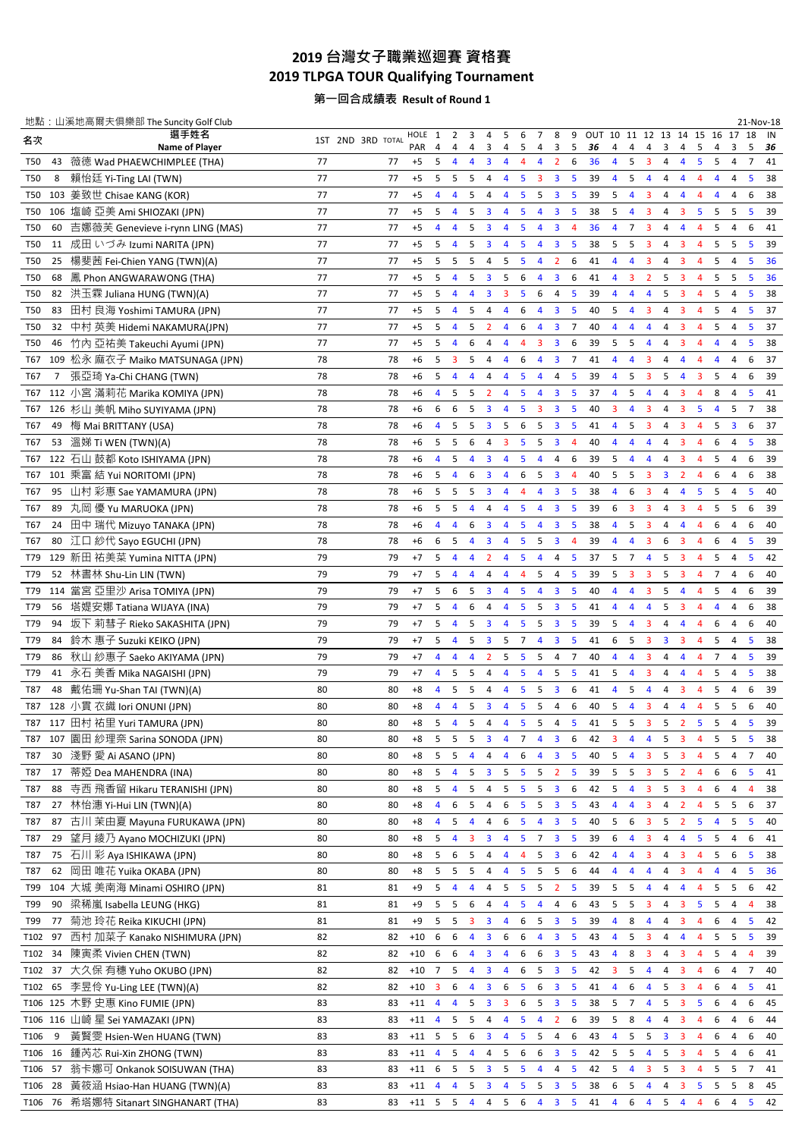## **2019** 台灣女子職業巡迴賽 資格賽 **2019 TLPGA TOUR Qualifying Tournament**

第一回合成績表 **Result of Round 1**

|                  |                | 地點: 山溪地高爾夫俱樂部 The Suncity Golf Club          |    |                   |             |                         |                |                |                              |                         |                |                         |                         |                                  |                         |                         |                         |                         |                         |                         |                |                               | 21-Nov-18 |
|------------------|----------------|----------------------------------------------|----|-------------------|-------------|-------------------------|----------------|----------------|------------------------------|-------------------------|----------------|-------------------------|-------------------------|----------------------------------|-------------------------|-------------------------|-------------------------|-------------------------|-------------------------|-------------------------|----------------|-------------------------------|-----------|
| 名次               |                | 選手姓名                                         |    | 1ST 2ND 3RD TOTAL | HOLE        | 1                       | 2              | 3              | 4                            | 5                       | 6              | 7                       | 8                       | 9 OUT 10 11 12 13 14 15 16 17 18 |                         |                         |                         |                         |                         |                         |                |                               | IN        |
| <b>T50</b>       | 43             | Name of Player<br>薇徳 Wad PHAEWCHIMPLEE (THA) | 77 | 77                | PAR<br>$+5$ | 4<br>5                  | 4<br>4         | 4<br>4         | 3<br>$\overline{\mathbf{3}}$ | 4<br>4                  | 5<br>4         | 4<br>4                  | 3<br>$\overline{2}$     | 5<br>36<br>36<br>6               | 4<br>4                  | 4<br>5                  | 4<br>3                  | 3<br>4                  | 4<br>4                  | 5<br>5                  | 4<br>5         | 3<br>5<br>$\overline{7}$<br>4 | 36<br>41  |
| <b>T50</b>       | 8              | 賴怡廷 Yi-Ting LAI (TWN)                        | 77 | 77                | $+5$        | 5 <sub>1</sub>          | 5              | 5              | 4                            | $\overline{4}$          | 5              | $\overline{\mathbf{3}}$ | $\overline{\mathbf{3}}$ | 5<br>39                          | 4                       | 5                       | 4                       | 4                       | 4                       | $\overline{4}$          | 4              | $\overline{4}$<br>5           | 38        |
| T50              |                | 103 姜致世 Chisae KANG (KOR)                    | 77 | 77                | $+5$        | $\overline{4}$          | $\overline{4}$ | 5              | $\overline{4}$               | 4                       | 5              | 5                       | $\overline{\mathbf{3}}$ | 5<br>39                          | 5                       | $\overline{4}$          | 3                       | 4                       | 4                       | $\overline{4}$          | 4              | 4<br>6                        | 38        |
|                  |                |                                              |    |                   |             |                         |                |                |                              |                         |                |                         |                         |                                  |                         |                         |                         |                         |                         |                         |                |                               |           |
| <b>T50</b>       |                | 106 塩崎 亞美 Ami SHIOZAKI (JPN)                 | 77 | 77                | $+5$        | 5                       | $\overline{4}$ | 5              | $\overline{\mathbf{3}}$      | $\overline{4}$          | 5              | 4                       | $\overline{\mathbf{3}}$ | 5<br>38                          | 5                       | $\overline{4}$          | 3                       | 4                       | 3                       | 5                       | 5              | 5<br>5                        | 39        |
| <b>T50</b>       | 60             | 吉娜薇芙 Genevieve i-rynn LING (MAS)             | 77 | 77                | $+5$        | 4                       | $\overline{4}$ | 5              | $\overline{\mathbf{3}}$      | 4                       | 5              | 4                       | $\overline{\mathbf{3}}$ | 36<br>$\overline{4}$             | 4                       | $\overline{7}$          | 3                       | 4                       | 4                       | $\overline{4}$          | 5              | 4<br>6                        | 41        |
| <b>T50</b>       | 11             | 成田 いづみ Izumi NARITA (JPN)                    | 77 | 77                | $+5$        | 5                       | $\overline{4}$ | 5              | $\overline{\mathbf{3}}$      | 4                       | 5              | $\overline{4}$          | $\overline{\mathbf{3}}$ | 5<br>38                          | 5                       | 5                       | 3                       | 4                       | 3                       | $\overline{4}$          | 5              | 5<br>5                        | 39        |
| <b>T50</b>       | 25             | 楊斐茜 Fei-Chien YANG (TWN)(A)                  | 77 | 77                | $+5$        | 5                       | 5              | 5              | $\overline{4}$               | 5                       | 5              | $\overline{4}$          | $\overline{2}$          | 6<br>41                          | $\overline{4}$          | $\overline{4}$          | 3                       | 4                       | $\overline{\mathbf{3}}$ | $\overline{4}$          | 5              | $\overline{4}$<br>5           | 36        |
| <b>T50</b>       | 68             | 鳳 Phon ANGWARAWONG (THA)                     | 77 | 77                | $+5$        | 5                       | $\overline{4}$ | 5              | $\overline{\mathbf{3}}$      | 5                       | 6              | $\overline{4}$          | $\overline{\mathbf{3}}$ | 6<br>41                          | $\overline{4}$          | 3                       | $\overline{2}$          | 5                       | $\overline{3}$          | $\overline{4}$          | 5              | 5<br>5                        | 36        |
| <b>T50</b>       | 82             | 洪玉霖 Juliana HUNG (TWN)(A)                    | 77 | 77                | $+5$        | 5                       | $\overline{4}$ | 4              | $\overline{\mathbf{3}}$      | 3                       | 5              | 6                       | $\overline{4}$          | 5<br>39                          | $\overline{\mathbf{4}}$ | $\overline{\mathbf{4}}$ | $\overline{4}$          | 5                       | $\overline{\mathbf{3}}$ | $\overline{4}$          | 5              | $\overline{4}$<br>5           | 38        |
| T50              | 83             | 田村 良海 Yoshimi TAMURA (JPN)                   | 77 | 77                | $+5$        | 5                       | $\overline{4}$ | 5              | $\overline{4}$               | $\overline{4}$          | 6              | $\overline{4}$          | $\overline{\mathbf{3}}$ | 5<br>40                          | 5                       | $\overline{4}$          | 3                       | 4                       | 3                       | $\overline{4}$          | 5              | 5<br>4                        | 37        |
| <b>T50</b>       | 32             | 中村 英美 Hidemi NAKAMURA(JPN)                   | 77 | 77                | $+5$        | 5                       | 4              | 5              | $\overline{2}$               | 4                       | 6              | 4                       | $\overline{\mathbf{3}}$ | $\overline{7}$<br>40             | 4                       | 4                       | 4                       | 4                       | 3                       | 4                       | 5              | 5<br>4                        | 37        |
| <b>T50</b>       | 46             | 竹內 亞祐美 Takeuchi Ayumi (JPN)                  | 77 | 77                | $+5$        | 5                       | 4              | 6              | 4                            | 4                       | 4              | 3                       | $\overline{\mathbf{3}}$ | 6<br>39                          | 5                       | 5                       | 4                       | 4                       | 3                       | $\overline{4}$          | 4              | 4<br>5                        | 38        |
| T67              |                | 109 松永 麻衣子 Maiko MATSUNAGA (JPN)             | 78 | 78                | $+6$        | 5                       | 3              | 5              | 4                            | 4                       | 6              | $\overline{4}$          | $\overline{\mathbf{3}}$ | 7<br>41                          | 4                       | 4                       | 3                       | 4                       | 4                       | $\overline{4}$          | 4              | 6<br>4                        | 37        |
| T67              | $\overline{7}$ | 張亞琦 Ya-Chi CHANG (TWN)                       | 78 | 78                | $+6$        | 5                       | $\overline{4}$ | 4              | $\overline{4}$               | 4                       | 5              | $\overline{4}$          | 4                       | 5<br>39                          | $\overline{4}$          | 5                       | 3                       | 5                       | $\overline{4}$          | $\overline{\mathbf{3}}$ | 5              | $\overline{4}$<br>6           | 39        |
| T67              |                | 112 小宮 滿莉花 Marika KOMIYA (JPN)               | 78 | 78                | $+6$        | 4                       | 5              | 5              | $\overline{2}$               | 4                       | 5              | $\overline{4}$          | $\overline{\mathbf{3}}$ | 5<br>37                          | $\overline{\mathbf{4}}$ | 5                       | $\overline{4}$          | 4                       | 3                       | $\overline{4}$          | 8              | 5<br>4                        | 41        |
| T67              |                | 126 杉山 美帆 Miho SUYIYAMA (JPN)                | 78 | 78                | $+6$        | 6                       | 6              | 5              | $\overline{\mathbf{3}}$      | 4                       | 5              | $\overline{\mathbf{3}}$ | $\overline{\mathbf{3}}$ | 5<br>40                          | $\overline{3}$          | $\overline{4}$          | 3                       | 4                       | $\overline{\mathbf{3}}$ | 5                       | $\overline{4}$ | 5<br>$\overline{7}$           | 38        |
| T67              | 49             | 梅 Mai BRITTANY (USA)                         | 78 | 78                | $+6$        | $\overline{4}$          | 5              | 5              | $\overline{\mathbf{3}}$      | 5                       | 6              | 5                       | $\overline{\mathbf{3}}$ | 5<br>41                          | $\overline{\mathbf{4}}$ | 5                       | 3                       | 4                       | $\overline{\mathbf{3}}$ | 4                       | 5              | $\overline{\mathbf{3}}$<br>6  | 37        |
| T67              | 53             | 溫娣 Ti WEN (TWN)(A)                           | 78 | 78                | $+6$        | 5                       | 5              | 6              | $\overline{4}$               | 3                       | 5              | 5                       | $\overline{\mathbf{3}}$ | $\overline{4}$<br>40             | 4                       | $\overline{4}$          | 4                       | 4                       | 3                       | 4                       | 6              | 4<br>5                        | 38        |
|                  |                | 122 石山 鼓都 Koto ISHIYAMA (JPN)                |    |                   |             |                         |                |                |                              |                         |                |                         |                         |                                  |                         |                         |                         |                         |                         |                         |                |                               |           |
| T67              |                |                                              | 78 | 78                | $+6$        | $\overline{4}$          | 5              | 4              | $\overline{\mathbf{3}}$      | 4                       | 5              | 4                       | 4                       | 6<br>39                          | 5                       | $\overline{4}$          | 4                       | 4                       | 3                       | 4                       | 5              | 4<br>6                        | 39        |
| T67              |                | 101 乘富 結 Yui NORITOMI (JPN)                  | 78 | 78                | $+6$        | 5                       | $\overline{4}$ | 6              | $\overline{\mathbf{3}}$      | 4                       | 6              | 5                       | $\overline{\mathbf{3}}$ | $\overline{4}$<br>40             | 5                       | 5                       | 3                       | $\overline{\mathbf{3}}$ | $\overline{2}$          | 4                       | 6              | 4<br>6                        | 38        |
| T67              | 95             | 山村 彩惠 Sae YAMAMURA (JPN)                     | 78 | 78                | $+6$        | 5                       | 5              | 5              | $\overline{\mathbf{3}}$      | 4                       | 4              | $\overline{4}$          | $\overline{\mathbf{3}}$ | 5<br>38                          | 4                       | 6                       | 3                       | 4                       | $\overline{4}$          | 5                       | 5              | 4<br>5                        | 40        |
| T67              | 89             | 丸岡 優 Yu MARUOKA (JPN)                        | 78 | 78                | $+6$        | 5                       | 5              | 4              | $\overline{4}$               | 4                       | 5              | $\overline{4}$          | $\overline{\mathbf{3}}$ | 5<br>39                          | 6                       | $\overline{\mathbf{3}}$ | 3                       | 4                       | $\overline{3}$          | 4                       | 5              | 5<br>6                        | 39        |
| T67              | 24             | 田中瑞代 Mizuyo TANAKA (JPN)                     | 78 | 78                | $+6$        | $\overline{4}$          | $\overline{4}$ | 6              | $\overline{\mathbf{3}}$      | 4                       | 5              | $\overline{4}$          | $\overline{\mathbf{3}}$ | 5<br>38                          | 4                       | 5                       | 3                       | 4                       | $\overline{4}$          | 4                       | 6              | 4<br>6                        | 40        |
| T67              | 80             | 江口 紗代 Sayo EGUCHI (JPN)                      | 78 | 78                | $+6$        | 6                       | 5              | 4              | $\overline{\mathbf{3}}$      | $\overline{4}$          | 5              | 5                       | $\overline{\mathbf{3}}$ | 39<br>$\overline{4}$             | 4                       | 4                       | 3                       | 6                       | 3                       | $\overline{4}$          | 6              | 5<br>4                        | 39        |
| T79              |                | 129 新田 祐美菜 Yumina NITTA (JPN)                | 79 | 79                | $+7$        | 5                       | $\overline{4}$ | $\overline{4}$ | $\overline{2}$               | 4                       | 5              | $\overline{4}$          | 4                       | 5<br>37                          | 5                       | $\overline{7}$          | $\overline{4}$          | 5                       | $\overline{\mathbf{3}}$ | 4                       | 5              | 4<br>5                        | 42        |
| T79              |                | 52 林書林 Shu-Lin LIN (TWN)                     | 79 | 79                | $+7$        | 5                       | $\overline{4}$ | 4              | 4                            | 4                       | 4              | 5                       | 4                       | 5<br>39                          | 5                       | 3                       | 3                       | 5                       | 3                       | 4                       | 7              | 4<br>6                        | 40        |
| T79              |                | 114 當宮 亞里沙 Arisa TOMIYA (JPN)                | 79 | 79                | $+7$        | 5                       | 6              | 5              | 3                            | 4                       | 5              | 4                       | 3                       | 5<br>40                          | 4                       | 4                       | 3                       | 5                       | 4                       | 4                       | 5              | 4<br>6                        | 39        |
| T79              |                | 56 塔媞安娜 Tatiana WIJAYA (INA)                 | 79 | 79                | $+7$        | 5                       | $\overline{4}$ | 6              | 4                            | 4                       | 5              | 5                       | $\overline{\mathbf{3}}$ | 5<br>41                          | 4                       | 4                       | 4                       | 5                       | 3                       | $\overline{4}$          | 4              | 4<br>6                        | 38        |
| T79              | 94             | 坂下 莉彗子 Rieko SAKASHITA (JPN)                 | 79 | 79                | $+7$        | 5                       | 4              | 5              | $\overline{\mathbf{3}}$      | 4                       | 5              | 5                       | $\overline{\mathbf{3}}$ | 5<br>39                          | 5                       | $\overline{4}$          | 3                       | 4                       | 4                       | $\overline{4}$          | 6              | 4<br>6                        | 40        |
| T79              | 84             | 鈴木 惠子 Suzuki KEIKO (JPN)                     | 79 | 79                | $+7$        | 5                       | 4              | 5              | $\overline{\mathbf{3}}$      | 5                       | $\overline{7}$ | $\overline{4}$          | $\overline{\mathbf{3}}$ | 5<br>41                          | 6                       | 5                       | $\overline{\mathbf{3}}$ | $\overline{\mathbf{3}}$ | $\overline{\mathbf{3}}$ | $\overline{4}$          | 5              | $\overline{4}$<br>5           | 38        |
| T79              | 86             | 秋山 紗惠子 Saeko AKIYAMA (JPN)                   | 79 | 79                | $+7$        | $\overline{4}$          | $\overline{4}$ | 4              | $\overline{2}$               | 5                       | 5              | 5                       | $\overline{4}$          | $\overline{7}$<br>40             | $\overline{4}$          | $\overline{4}$          | $\overline{\mathbf{3}}$ | 4                       | $\overline{4}$          | $\overline{4}$          | $\overline{7}$ | 5<br>$\overline{4}$           | 39        |
| T79              |                | 41 永石 美香 Mika NAGAISHI (JPN)                 | 79 | 79                | $+7$        | 4                       | 5              | 5              | $\overline{4}$               | $\overline{4}$          | 5              | $\overline{4}$          | 5                       | 5<br>41                          | 5                       | $\overline{4}$          | $\overline{\mathbf{3}}$ | 4                       | $\overline{4}$          | $\overline{4}$          | 5              | 5<br>4                        | 38        |
| T87              | 48             | 戴佑珊 Yu-Shan TAI (TWN)(A)                     | 80 | 80                | $+8$        | $\overline{4}$          | 5              | 5              | $\overline{4}$               | $\overline{4}$          | 5              | 5                       | $\overline{\mathbf{3}}$ | 6<br>41                          | 4                       | 5                       | $\overline{4}$          | 4                       | $\overline{\mathbf{3}}$ | $\overline{4}$          | 5              | $\overline{4}$<br>6           | 39        |
| T87              |                | 128 小貫 衣織 lori ONUNI (JPN)                   | 80 | 80                | $+8$        | $\overline{4}$          | $\overline{4}$ | 5              | $\overline{\mathbf{3}}$      | $\overline{4}$          | 5              | 5                       | $\overline{4}$          | 6<br>40                          | 5                       | $\overline{4}$          | $\overline{3}$          | 4                       | 4                       | $\overline{4}$          | 5              | 5<br>6                        | 40        |
|                  |                | T87 117 田村 祐里 Yuri TAMURA (JPN)              | 80 | 80                | $+8$        |                         | $5 \quad 4$    |                | $5 \quad 4 \quad 4$          |                         |                | $5 \quad 5 \quad 4$     |                         | 5<br>41                          | 5                       |                         | 5 <sub>3</sub>          |                         | 5 <sup>2</sup>          | 5                       | 5 <sub>4</sub> | 5                             | 39        |
|                  |                |                                              |    |                   |             |                         |                |                |                              |                         |                |                         |                         |                                  |                         |                         |                         |                         |                         |                         |                |                               |           |
| T87              |                | 107 園田 紗理奈 Sarina SONODA (JPN)               | 80 | 80                | $+8$        | 5                       | 5              | 5              | 3                            | 4                       | 7              | $\overline{4}$          | 3                       | 6<br>42                          | 3                       | 4                       | 4                       | 5                       | 3                       | 4                       | 5              | 5<br>5                        | 38        |
| T87              | 30             | 淺野 愛 Ai ASANO (JPN)                          | 80 | 80                | $+8$        | 5                       | 5              | 4              | 4                            | $\overline{4}$          | 6              | 4                       | 3                       | 5<br>40                          | 5                       | 4                       | 3                       | 5                       | 3                       | 4                       | 5              | 4<br>7                        | 40        |
| T87              | 17             | 蒂婭 Dea MAHENDRA (INA)                        | 80 | 80                | $+8$        | 5                       | $\overline{4}$ | 5              | $\overline{\mathbf{3}}$      | 5                       | 5              | 5                       | $\overline{2}$          | 5<br>39                          | 5                       | 5                       | 3                       | 5                       | $\overline{2}$          | $\overline{4}$          | 6              | 6<br>5                        | 41        |
| T87              | 88             | 寺西 飛香留 Hikaru TERANISHI (JPN)                | 80 | 80                | $+8$        | 5                       | $\overline{4}$ | 5              | 4                            | 5                       | 5              | 5                       | $\overline{\mathbf{3}}$ | 6<br>42                          | 5                       | $\overline{4}$          | 3                       | 5                       | 3                       | 4                       | 6              | 4<br>4                        | 38        |
| T87              | 27             | 林怡潓 Yi-Hui LIN (TWN)(A)                      | 80 | 80                | $+8$        | 4                       | 6              | 5              | 4                            | 6                       | 5              | 5                       | $\overline{\mathbf{3}}$ | 5<br>43                          | 4                       | 4                       | 3                       | 4                       | 2                       | 4                       | 5              | 5<br>6                        | 37        |
| T87              | 87             | 古川 茉由夏 Mayuna FURUKAWA (JPN)                 | 80 | 80                | $+8$        | 4                       | 5              | 4              | 4                            | 6                       | 5              | 4                       | 3                       | 5<br>40                          | 5                       | 6                       | 3                       | 5                       | $\overline{2}$          | 5                       | 4              | 5<br>5                        | 40        |
| T87              | 29             | 望月 綾乃 Ayano MOCHIZUKI (JPN)                  | 80 | 80                | $+8$        | 5                       | $\overline{4}$ | 3              | 3                            | 4                       | 5              | $\overline{7}$          | $\overline{\mathbf{3}}$ | 5<br>39                          | 6                       | 4                       | 3                       | 4                       | 4                       | 5                       | 5              | 6<br>4                        | 41        |
| T87              | 75             | 石川 彩 Aya ISHIKAWA (JPN)                      | 80 | 80                | $+8$        | 5                       | 6              | 5              | 4                            | 4                       | $\overline{4}$ | 5                       | 3                       | 6<br>42                          | 4                       | $\overline{4}$          | 3                       | 4                       | 3                       | $\overline{4}$          | 5              | 6<br>5                        | 38        |
| T87              | 62             | 岡田 唯花 Yuika OKABA (JPN)                      | 80 | 80                | $+8$        | 5                       | 5              | 5              | 4                            | 4                       | 5              | 5                       | 5                       | 6<br>44                          | 4                       | 4                       | $\overline{4}$          | 4                       | 3                       | 4                       | 4              | 4<br>5                        | 36        |
| T99              |                | 104 大城 美南海 Minami OSHIRO (JPN)               | 81 | 81                | $+9$        | 5                       | 4              | 4              | 4                            | 5                       | 5              | 5                       | $\overline{2}$          | 5<br>39                          | 5                       | 5                       | 4                       | 4                       | 4                       | $\overline{4}$          | 5              | 5<br>6                        | 42        |
| T99              | 90             | 梁稀嵐 Isabella LEUNG (HKG)                     | 81 | 81                | $+9$        | 5                       | 5              | 6              | 4                            | 4                       | 5              | $\overline{\mathbf{4}}$ | 4                       | 6<br>43                          | 5                       | 5                       | 3                       | 4                       | 3                       | 5                       | 5              | 4<br>4                        | 38        |
| T99              | 77             | 菊池 玲花 Reika KIKUCHI (JPN)                    | 81 | 81                | $+9$        | 5                       | 5              | 3              | $\overline{\mathbf{3}}$      | 4                       | 6              | 5                       | $\overline{\mathbf{3}}$ | 5<br>39                          | 4                       | 8                       | $\overline{4}$          | 4                       | $\overline{\mathbf{3}}$ | 4                       | 6              | 4<br>5                        | 42        |
| T <sub>102</sub> | 97             | 西村 加菜子 Kanako NISHIMURA (JPN)                | 82 | 82                | $+10$       | 6                       | 6              | 4              | $\overline{\mathbf{3}}$      | 6                       | 6              | $\overline{4}$          | $\overline{\mathbf{3}}$ | 5<br>43                          | 4                       | 5                       | 3                       | 4                       | $\overline{4}$          | 4                       | 5              | 5<br>5                        | 39        |
| T <sub>102</sub> | 34             | 陳寅柔 Vivien CHEN (TWN)                        | 82 | 82                | $+10$       | 6                       | 6              | 4              | $\overline{\mathbf{3}}$      | 4                       | 6              | 6                       | $\overline{\mathbf{3}}$ | 5<br>43                          | 4                       | 8                       | 3                       | 4                       | 3                       | 4                       | 5              | 4<br>4                        | 39        |
|                  |                |                                              |    |                   |             |                         |                |                |                              |                         |                |                         |                         |                                  |                         |                         |                         |                         |                         |                         |                |                               |           |
| T <sub>102</sub> | 37             | 大久保 有穗 Yuho OKUBO (JPN)                      | 82 | 82                | $+10$       | $\overline{7}$          | 5              | 4              | $\overline{\mathbf{3}}$      | 4                       | 6              | 5                       | $\overline{\mathbf{3}}$ | 5<br>42                          | 3                       | 5                       | 4                       | 4                       | 3                       | 4                       | 6              | 4<br>7                        | 40        |
| T <sub>102</sub> | 65             | 李昱伶 Yu-Ling LEE (TWN)(A)                     | 82 | 82                | $+10$       | $\overline{\mathbf{3}}$ | 6              | 4              | $\overline{\mathbf{3}}$      | 6                       | 5              | 6                       | $\overline{\mathbf{3}}$ | 5<br>41                          | 4                       | 6                       | 4                       | 5                       | $\overline{\mathbf{3}}$ | 4                       | 6              | 4<br>5                        | 41        |
| T106             |                | 125 木野 史惠 Kino FUMIE (JPN)                   | 83 | 83                | $+11$       | 4                       | 4              | 5              | $\overline{\mathbf{3}}$      | 3                       | 6              | 5                       | 3                       | 5<br>38                          | 5                       | $\overline{7}$          | 4                       | 5                       | $\overline{\mathbf{3}}$ | 5                       | 6              | 4<br>6                        | 45        |
| T106             |                | 116 山崎星 Sei YAMAZAKI (JPN)                   | 83 | 83                | $+11$       | $\overline{\mathbf{4}}$ | 5              | 5              | 4                            | $\overline{4}$          | 5              | $\overline{4}$          | $\overline{2}$          | 6<br>39                          | 5                       | 8                       | 4                       | 4                       | $\overline{\mathbf{3}}$ | 4                       | 6              | 4<br>6                        | 44        |
| T106             | 9              | 黃賢雯 Hsien-Wen HUANG (TWN)                    | 83 | 83                | $+11$       | 5                       | $5^{\circ}$    | 6              | $\overline{\mathbf{3}}$      | 4                       | 5              | 5                       | 4                       | 6<br>43                          | 4                       | 5                       | 5                       | $\overline{\mathbf{3}}$ | $\overline{\mathbf{3}}$ | $\overline{a}$          | 6              | 4<br>6                        | 40        |
| T <sub>106</sub> | 16             | 鍾芮芯 Rui-Xin ZHONG (TWN)                      | 83 | 83                | $+11$       | $\overline{4}$          | 5              | $\overline{4}$ | 4                            | 5                       | 6              | 6                       | 3                       | 5<br>42                          | 5                       | 5                       | 4                       | 5                       | 3                       | 4                       | 5              | 4<br>6                        | 41        |
| T <sub>106</sub> | 57             | 翁卡娜可 Onkanok SOISUWAN (THA)                  | 83 | 83                | $+11$       | 6 5                     |                | 5              | $\overline{\mathbf{3}}$      | 5                       | 5              | 4                       | 4                       | 5<br>42                          | 5                       | 4                       | 3                       | 5                       | 3                       | 4                       | 5              | 5<br>7                        | 41        |
| T <sub>106</sub> | 28             | 黃筱涵 Hsiao-Han HUANG (TWN)(A)                 | 83 | 83                | $+11$       | $\overline{4}$          | $\overline{4}$ | 5              | $\overline{\mathbf{3}}$      | $\overline{\mathbf{4}}$ | 5              | 5                       | $\overline{\mathbf{3}}$ | 5<br>38                          | 6                       | 5                       | 4                       | 4                       | 3                       | 5                       | 5              | 5<br>8                        | 45        |
| T106             | 76             | 希塔娜特 Sitanart SINGHANART (THA)               | 83 | 83                | $+11$ 5 5   |                         |                | $\overline{4}$ | 4                            | 5                       | 6              | $\overline{4}$          | $\mathbf{3}$            | 5<br>41                          | 4                       | 6                       | 4                       | 5                       | 4                       | 4                       | 6              | 4<br>5                        | 42        |